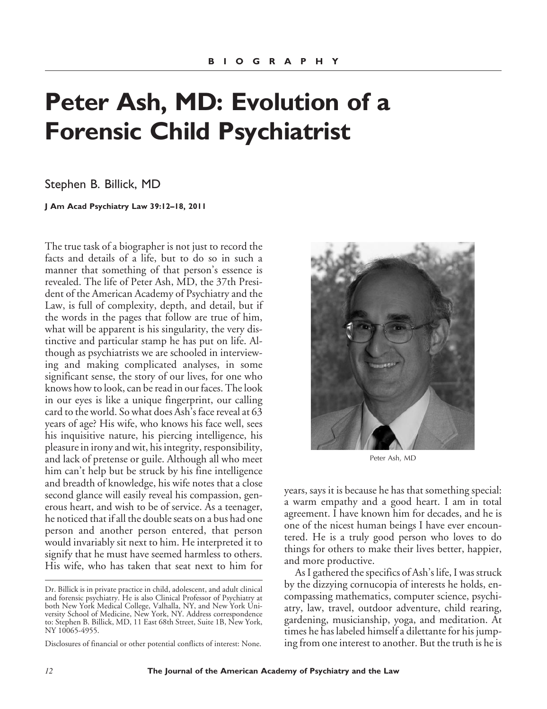## **Peter Ash, MD: Evolution of a Forensic Child Psychiatrist**

Stephen B. Billick, MD

**J Am Acad Psychiatry Law 39:12–18, 2011**

The true task of a biographer is not just to record the facts and details of a life, but to do so in such a manner that something of that person's essence is revealed. The life of Peter Ash, MD, the 37th President of the American Academy of Psychiatry and the Law, is full of complexity, depth, and detail, but if the words in the pages that follow are true of him, what will be apparent is his singularity, the very distinctive and particular stamp he has put on life. Although as psychiatrists we are schooled in interviewing and making complicated analyses, in some significant sense, the story of our lives, for one who knows how to look, can be read in our faces. The look in our eyes is like a unique fingerprint, our calling card to the world. So what does Ash's face reveal at 63 years of age? His wife, who knows his face well, sees his inquisitive nature, his piercing intelligence, his pleasure in irony and wit, his integrity, responsibility, and lack of pretense or guile. Although all who meet him can't help but be struck by his fine intelligence and breadth of knowledge, his wife notes that a close second glance will easily reveal his compassion, generous heart, and wish to be of service. As a teenager, he noticed that if all the double seats on a bus had one person and another person entered, that person would invariably sit next to him. He interpreted it to signify that he must have seemed harmless to others. His wife, who has taken that seat next to him for

Disclosures of financial or other potential conflicts of interest: None.



Peter Ash, MD

years, says it is because he has that something special: a warm empathy and a good heart. I am in total agreement. I have known him for decades, and he is one of the nicest human beings I have ever encountered. He is a truly good person who loves to do things for others to make their lives better, happier, and more productive.

As I gathered the specifics of Ash's life, I was struck by the dizzying cornucopia of interests he holds, encompassing mathematics, computer science, psychiatry, law, travel, outdoor adventure, child rearing, gardening, musicianship, yoga, and meditation. At times he has labeled himself a dilettante for his jumping from one interest to another. But the truth is he is

Dr. Billick is in private practice in child, adolescent, and adult clinical and forensic psychiatry. He is also Clinical Professor of Psychiatry at both New York Medical College, Valhalla, NY, and New York University School of Medicine, New York, NY. Address correspondence to: Stephen B. Billick, MD, 11 East 68th Street, Suite 1B, New York, NY 10065-4955.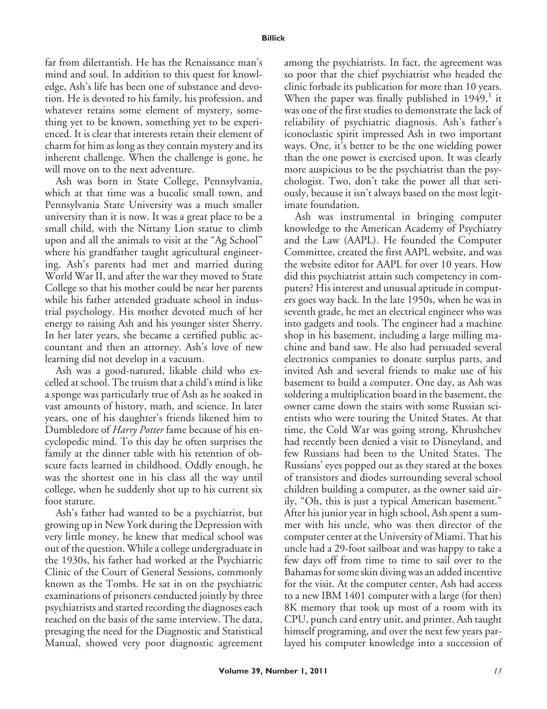far from dilettantish. He has the Renaissance man's mind and soul. In addition to this quest for knowledge, Ash's life has been one of substance and devotion. He is devoted to his family, his profession, and whatever retains some element of mystery, something yet to be known, something yet to be experienced. It is clear that interests retain their element of charm for him as long as they contain mystery and its inherent challenge. When the challenge is gone, he will move on to the next adventure.

Ash was born in State College, Pennsylvania, which at that time was a bucolic small town, and Pennsylvania State University was a much smaller university than it is now. It was a great place to be a small child, with the Nittany Lion statue to climb upon and all the animals to visit at the "Ag School" where his grandfather taught agricultural engineering. Ash's parents had met and married during World War II, and after the war they moved to State College so that his mother could be near her parents while his father attended graduate school in industrial psychology. His mother devoted much of her energy to raising Ash and his younger sister Sherry. In her later years, she became a certified public accountant and then an attorney. Ash's love of new learning did not develop in a vacuum.

Ash was a good-natured, likable child who excelled at school. The truism that a child's mind is like a sponge was particularly true of Ash as he soaked in vast amounts of history, math, and science. In later years, one of his daughter's friends likened him to Dumbledore of *Harry Potter* fame because of his encyclopedic mind. To this day he often surprises the family at the dinner table with his retention of obscure facts learned in childhood. Oddly enough, he was the shortest one in his class all the way until college, when he suddenly shot up to his current six foot stature.

Ash's father had wanted to be a psychiatrist, but growing up in New York during the Depression with very little money, he knew that medical school was out of the question. While a college undergraduate in the 1930s, his father had worked at the Psychiatric Clinic of the Court of General Sessions, commonly known as the Tombs. He sat in on the psychiatric examinations of prisoners conducted jointly by three psychiatrists and started recording the diagnoses each reached on the basis of the same interview. The data, presaging the need for the Diagnostic and Statistical Manual, showed very poor diagnostic agreement among the psychiatrists. In fact, the agreement was so poor that the chief psychiatrist who headed the clinic forbade its publication for more than 10 years. When the paper was finally published in  $1949$ , it was one of the first studies to demonstrate the lack of reliability of psychiatric diagnosis. Ash's father's iconoclastic spirit impressed Ash in two important ways. One, it's better to be the one wielding power than the one power is exercised upon. It was clearly more auspicious to be the psychiatrist than the psychologist. Two, don't take the power all that seriously, because it isn't always based on the most legitimate foundation.

Ash was instrumental in bringing computer knowledge to the American Academy of Psychiatry and the Law (AAPL). He founded the Computer Committee, created the first AAPL website, and was the website editor for AAPL for over 10 years. How did this psychiatrist attain such competency in computers? His interest and unusual aptitude in computers goes way back. In the late 1950s, when he was in seventh grade, he met an electrical engineer who was into gadgets and tools. The engineer had a machine shop in his basement, including a large milling machine and band saw. He also had persuaded several electronics companies to donate surplus parts, and invited Ash and several friends to make use of his basement to build a computer. One day, as Ash was soldering a multiplication board in the basement, the owner came down the stairs with some Russian scientists who were touring the United States. At that time, the Cold War was going strong, Khrushchev had recently been denied a visit to Disneyland, and few Russians had been to the United States. The Russians' eyes popped out as they stared at the boxes of transistors and diodes surrounding several school children building a computer, as the owner said airily, "Oh, this is just a typical American basement." After his junior year in high school, Ash spent a summer with his uncle, who was then director of the computer center at the University of Miami. That his uncle had a 29-foot sailboat and was happy to take a few days off from time to time to sail over to the Bahamas for some skin diving was an added incentive for the visit. At the computer center, Ash had access to a new IBM 1401 computer with a large (for then) 8K memory that took up most of a room with its CPU, punch card entry unit, and printer. Ash taught himself programing, and over the next few years parlayed his computer knowledge into a succession of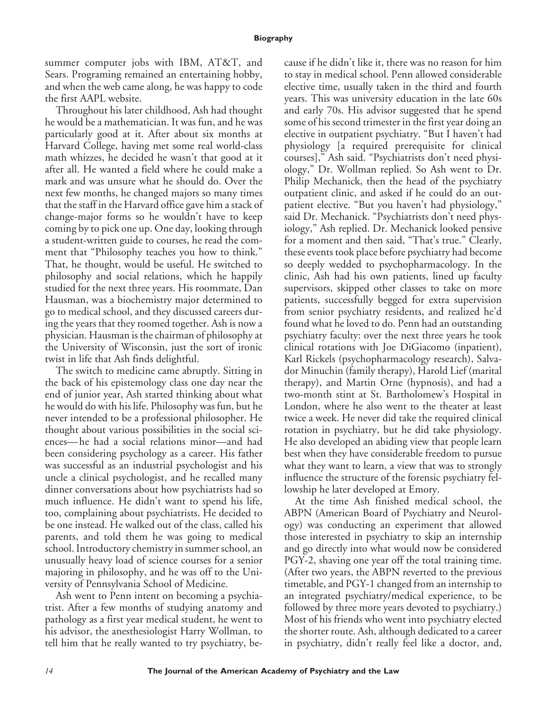summer computer jobs with IBM, AT&T, and Sears. Programing remained an entertaining hobby, and when the web came along, he was happy to code the first AAPL website.

Throughout his later childhood, Ash had thought he would be a mathematician. It was fun, and he was particularly good at it. After about six months at Harvard College, having met some real world-class math whizzes, he decided he wasn't that good at it after all. He wanted a field where he could make a mark and was unsure what he should do. Over the next few months, he changed majors so many times that the staff in the Harvard office gave him a stack of change-major forms so he wouldn't have to keep coming by to pick one up. One day, looking through a student-written guide to courses, he read the comment that "Philosophy teaches you how to think." That, he thought, would be useful. He switched to philosophy and social relations, which he happily studied for the next three years. His roommate, Dan Hausman, was a biochemistry major determined to go to medical school, and they discussed careers during the years that they roomed together. Ash is now a physician. Hausman is the chairman of philosophy at the University of Wisconsin, just the sort of ironic twist in life that Ash finds delightful.

The switch to medicine came abruptly. Sitting in the back of his epistemology class one day near the end of junior year, Ash started thinking about what he would do with his life. Philosophy was fun, but he never intended to be a professional philosopher. He thought about various possibilities in the social sciences— he had a social relations minor—and had been considering psychology as a career. His father was successful as an industrial psychologist and his uncle a clinical psychologist, and he recalled many dinner conversations about how psychiatrists had so much influence. He didn't want to spend his life, too, complaining about psychiatrists. He decided to be one instead. He walked out of the class, called his parents, and told them he was going to medical school. Introductory chemistry in summer school, an unusually heavy load of science courses for a senior majoring in philosophy, and he was off to the University of Pennsylvania School of Medicine.

Ash went to Penn intent on becoming a psychiatrist. After a few months of studying anatomy and pathology as a first year medical student, he went to his advisor, the anesthesiologist Harry Wollman, to tell him that he really wanted to try psychiatry, be-

cause if he didn't like it, there was no reason for him to stay in medical school. Penn allowed considerable elective time, usually taken in the third and fourth years. This was university education in the late 60s and early 70s. His advisor suggested that he spend some of his second trimester in the first year doing an elective in outpatient psychiatry. "But I haven't had physiology [a required prerequisite for clinical courses]," Ash said. "Psychiatrists don't need physiology," Dr. Wollman replied. So Ash went to Dr. Philip Mechanick, then the head of the psychiatry outpatient clinic, and asked if he could do an outpatient elective. "But you haven't had physiology," said Dr. Mechanick. "Psychiatrists don't need physiology," Ash replied. Dr. Mechanick looked pensive for a moment and then said, "That's true." Clearly, these events took place before psychiatry had become so deeply wedded to psychopharmacology. In the clinic, Ash had his own patients, lined up faculty supervisors, skipped other classes to take on more patients, successfully begged for extra supervision from senior psychiatry residents, and realized he'd found what he loved to do. Penn had an outstanding psychiatry faculty: over the next three years he took clinical rotations with Joe DiGiacomo (inpatient), Karl Rickels (psychopharmacology research), Salvador Minuchin (family therapy), Harold Lief (marital therapy), and Martin Orne (hypnosis), and had a two-month stint at St. Bartholomew's Hospital in London, where he also went to the theater at least twice a week. He never did take the required clinical rotation in psychiatry, but he did take physiology. He also developed an abiding view that people learn best when they have considerable freedom to pursue what they want to learn, a view that was to strongly influence the structure of the forensic psychiatry fellowship he later developed at Emory.

At the time Ash finished medical school, the ABPN (American Board of Psychiatry and Neurology) was conducting an experiment that allowed those interested in psychiatry to skip an internship and go directly into what would now be considered PGY-2, shaving one year off the total training time. (After two years, the ABPN reverted to the previous timetable, and PGY-1 changed from an internship to an integrated psychiatry/medical experience, to be followed by three more years devoted to psychiatry.) Most of his friends who went into psychiatry elected the shorter route. Ash, although dedicated to a career in psychiatry, didn't really feel like a doctor, and,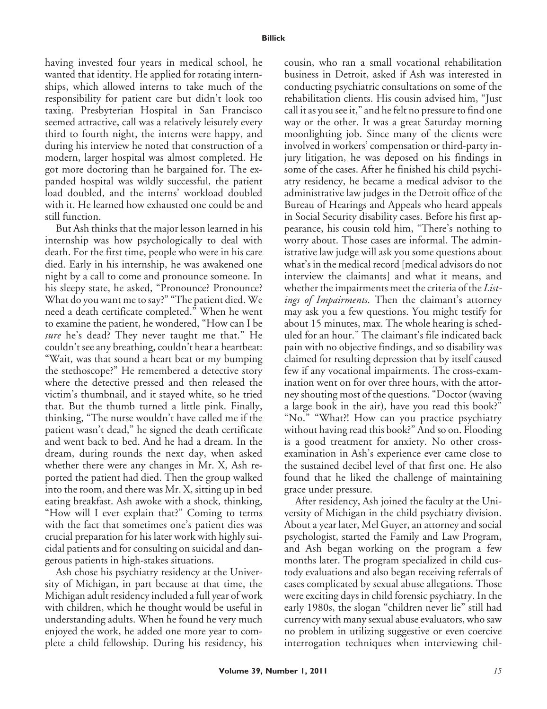having invested four years in medical school, he wanted that identity. He applied for rotating internships, which allowed interns to take much of the responsibility for patient care but didn't look too taxing. Presbyterian Hospital in San Francisco seemed attractive, call was a relatively leisurely every third to fourth night, the interns were happy, and during his interview he noted that construction of a modern, larger hospital was almost completed. He got more doctoring than he bargained for. The expanded hospital was wildly successful, the patient load doubled, and the interns' workload doubled with it. He learned how exhausted one could be and still function.

But Ash thinks that the major lesson learned in his internship was how psychologically to deal with death. For the first time, people who were in his care died. Early in his internship, he was awakened one night by a call to come and pronounce someone. In his sleepy state, he asked, "Pronounce? Pronounce? What do you want me to say?" "The patient died. We need a death certificate completed." When he went to examine the patient, he wondered, "How can I be *sure* he's dead? They never taught me that." He couldn't see any breathing, couldn't hear a heartbeat: "Wait, was that sound a heart beat or my bumping the stethoscope?" He remembered a detective story where the detective pressed and then released the victim's thumbnail, and it stayed white, so he tried that. But the thumb turned a little pink. Finally, thinking, "The nurse wouldn't have called me if the patient wasn't dead," he signed the death certificate and went back to bed. And he had a dream. In the dream, during rounds the next day, when asked whether there were any changes in Mr. X, Ash reported the patient had died. Then the group walked into the room, and there was Mr. X, sitting up in bed eating breakfast. Ash awoke with a shock, thinking, "How will I ever explain that?" Coming to terms with the fact that sometimes one's patient dies was crucial preparation for his later work with highly suicidal patients and for consulting on suicidal and dangerous patients in high-stakes situations.

Ash chose his psychiatry residency at the University of Michigan, in part because at that time, the Michigan adult residency included a full year of work with children, which he thought would be useful in understanding adults. When he found he very much enjoyed the work, he added one more year to complete a child fellowship. During his residency, his

cousin, who ran a small vocational rehabilitation business in Detroit, asked if Ash was interested in conducting psychiatric consultations on some of the rehabilitation clients. His cousin advised him, "Just call it as you see it," and he felt no pressure to find one way or the other. It was a great Saturday morning moonlighting job. Since many of the clients were involved in workers' compensation or third-party injury litigation, he was deposed on his findings in some of the cases. After he finished his child psychiatry residency, he became a medical advisor to the administrative law judges in the Detroit office of the Bureau of Hearings and Appeals who heard appeals in Social Security disability cases. Before his first appearance, his cousin told him, "There's nothing to worry about. Those cases are informal. The administrative law judge will ask you some questions about what's in the medical record [medical advisors do not interview the claimants] and what it means, and whether the impairments meet the criteria of the *Listings of Impairments*. Then the claimant's attorney may ask you a few questions. You might testify for about 15 minutes, max. The whole hearing is scheduled for an hour." The claimant's file indicated back pain with no objective findings, and so disability was claimed for resulting depression that by itself caused few if any vocational impairments. The cross-examination went on for over three hours, with the attorney shouting most of the questions. "Doctor (waving a large book in the air), have you read this book?" "No." "What?! How can you practice psychiatry without having read this book?" And so on. Flooding is a good treatment for anxiety. No other crossexamination in Ash's experience ever came close to the sustained decibel level of that first one. He also found that he liked the challenge of maintaining grace under pressure.

After residency, Ash joined the faculty at the University of Michigan in the child psychiatry division. About a year later, Mel Guyer, an attorney and social psychologist, started the Family and Law Program, and Ash began working on the program a few months later. The program specialized in child custody evaluations and also began receiving referrals of cases complicated by sexual abuse allegations. Those were exciting days in child forensic psychiatry. In the early 1980s, the slogan "children never lie" still had currency with many sexual abuse evaluators, who saw no problem in utilizing suggestive or even coercive interrogation techniques when interviewing chil-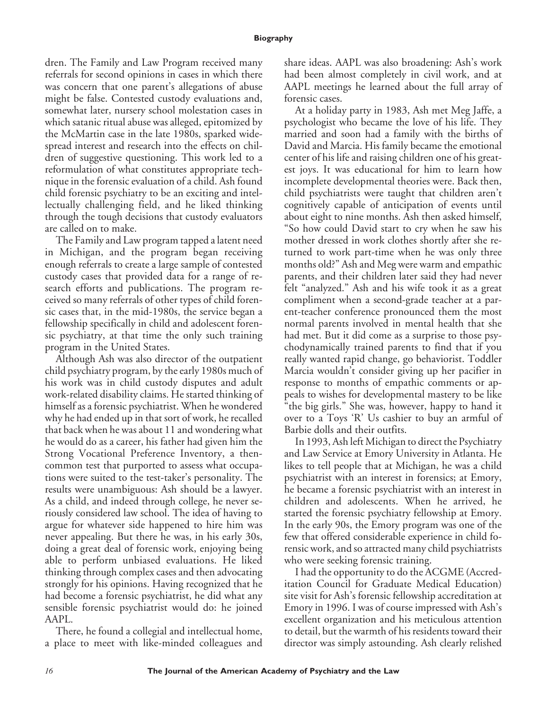## **Biography**

dren. The Family and Law Program received many referrals for second opinions in cases in which there was concern that one parent's allegations of abuse might be false. Contested custody evaluations and, somewhat later, nursery school molestation cases in which satanic ritual abuse was alleged, epitomized by the McMartin case in the late 1980s, sparked widespread interest and research into the effects on children of suggestive questioning. This work led to a reformulation of what constitutes appropriate technique in the forensic evaluation of a child. Ash found child forensic psychiatry to be an exciting and intellectually challenging field, and he liked thinking through the tough decisions that custody evaluators are called on to make.

The Family and Law program tapped a latent need in Michigan, and the program began receiving enough referrals to create a large sample of contested custody cases that provided data for a range of research efforts and publications. The program received so many referrals of other types of child forensic cases that, in the mid-1980s, the service began a fellowship specifically in child and adolescent forensic psychiatry, at that time the only such training program in the United States.

Although Ash was also director of the outpatient child psychiatry program, by the early 1980s much of his work was in child custody disputes and adult work-related disability claims. He started thinking of himself as a forensic psychiatrist. When he wondered why he had ended up in that sort of work, he recalled that back when he was about 11 and wondering what he would do as a career, his father had given him the Strong Vocational Preference Inventory, a thencommon test that purported to assess what occupations were suited to the test-taker's personality. The results were unambiguous: Ash should be a lawyer. As a child, and indeed through college, he never seriously considered law school. The idea of having to argue for whatever side happened to hire him was never appealing. But there he was, in his early 30s, doing a great deal of forensic work, enjoying being able to perform unbiased evaluations. He liked thinking through complex cases and then advocating strongly for his opinions. Having recognized that he had become a forensic psychiatrist, he did what any sensible forensic psychiatrist would do: he joined AAPL.

There, he found a collegial and intellectual home, a place to meet with like-minded colleagues and share ideas. AAPL was also broadening: Ash's work had been almost completely in civil work, and at AAPL meetings he learned about the full array of forensic cases.

At a holiday party in 1983, Ash met Meg Jaffe, a psychologist who became the love of his life. They married and soon had a family with the births of David and Marcia. His family became the emotional center of his life and raising children one of his greatest joys. It was educational for him to learn how incomplete developmental theories were. Back then, child psychiatrists were taught that children aren't cognitively capable of anticipation of events until about eight to nine months. Ash then asked himself, "So how could David start to cry when he saw his mother dressed in work clothes shortly after she returned to work part-time when he was only three months old?" Ash and Meg were warm and empathic parents, and their children later said they had never felt "analyzed." Ash and his wife took it as a great compliment when a second-grade teacher at a parent-teacher conference pronounced them the most normal parents involved in mental health that she had met. But it did come as a surprise to those psychodynamically trained parents to find that if you really wanted rapid change, go behaviorist. Toddler Marcia wouldn't consider giving up her pacifier in response to months of empathic comments or appeals to wishes for developmental mastery to be like "the big girls." She was, however, happy to hand it over to a Toys 'R' Us cashier to buy an armful of Barbie dolls and their outfits.

In 1993, Ash left Michigan to direct the Psychiatry and Law Service at Emory University in Atlanta. He likes to tell people that at Michigan, he was a child psychiatrist with an interest in forensics; at Emory, he became a forensic psychiatrist with an interest in children and adolescents. When he arrived, he started the forensic psychiatry fellowship at Emory. In the early 90s, the Emory program was one of the few that offered considerable experience in child forensic work, and so attracted many child psychiatrists who were seeking forensic training.

I had the opportunity to do the ACGME (Accreditation Council for Graduate Medical Education) site visit for Ash's forensic fellowship accreditation at Emory in 1996. I was of course impressed with Ash's excellent organization and his meticulous attention to detail, but the warmth of his residents toward their director was simply astounding. Ash clearly relished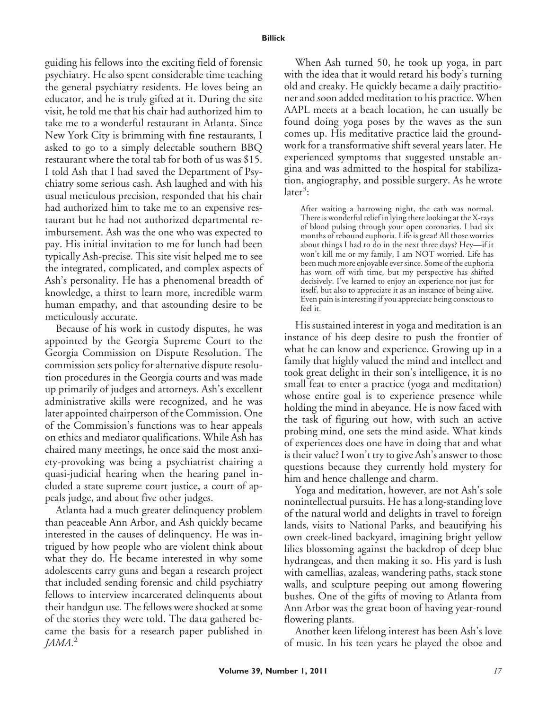guiding his fellows into the exciting field of forensic psychiatry. He also spent considerable time teaching the general psychiatry residents. He loves being an educator, and he is truly gifted at it. During the site visit, he told me that his chair had authorized him to take me to a wonderful restaurant in Atlanta. Since New York City is brimming with fine restaurants, I asked to go to a simply delectable southern BBQ restaurant where the total tab for both of us was \$15. I told Ash that I had saved the Department of Psychiatry some serious cash. Ash laughed and with his usual meticulous precision, responded that his chair had authorized him to take me to an expensive restaurant but he had not authorized departmental reimbursement. Ash was the one who was expected to pay. His initial invitation to me for lunch had been typically Ash-precise. This site visit helped me to see the integrated, complicated, and complex aspects of Ash's personality. He has a phenomenal breadth of knowledge, a thirst to learn more, incredible warm human empathy, and that astounding desire to be meticulously accurate.

Because of his work in custody disputes, he was appointed by the Georgia Supreme Court to the Georgia Commission on Dispute Resolution. The commission sets policy for alternative dispute resolution procedures in the Georgia courts and was made up primarily of judges and attorneys. Ash's excellent administrative skills were recognized, and he was later appointed chairperson of the Commission. One of the Commission's functions was to hear appeals on ethics and mediator qualifications. While Ash has chaired many meetings, he once said the most anxiety-provoking was being a psychiatrist chairing a quasi-judicial hearing when the hearing panel included a state supreme court justice, a court of appeals judge, and about five other judges.

Atlanta had a much greater delinquency problem than peaceable Ann Arbor, and Ash quickly became interested in the causes of delinquency. He was intrigued by how people who are violent think about what they do. He became interested in why some adolescents carry guns and began a research project that included sending forensic and child psychiatry fellows to interview incarcerated delinquents about their handgun use. The fellows were shocked at some of the stories they were told. The data gathered became the basis for a research paper published in *JAMA*. 2

When Ash turned 50, he took up yoga, in part with the idea that it would retard his body's turning old and creaky. He quickly became a daily practitioner and soon added meditation to his practice. When AAPL meets at a beach location, he can usually be found doing yoga poses by the waves as the sun comes up. His meditative practice laid the groundwork for a transformative shift several years later. He experienced symptoms that suggested unstable angina and was admitted to the hospital for stabilization, angiography, and possible surgery. As he wrote  $\text{later}^3$ :

After waiting a harrowing night, the cath was normal. There is wonderful relief in lying there looking at the X-rays of blood pulsing through your open coronaries. I had six months of rebound euphoria. Life is great! All those worries about things I had to do in the next three days? Hey—if it won't kill me or my family, I am NOT worried. Life has been much more enjoyable ever since. Some of the euphoria has worn off with time, but my perspective has shifted decisively. I've learned to enjoy an experience not just for itself, but also to appreciate it as an instance of being alive. Even pain is interesting if you appreciate being conscious to feel it.

His sustained interest in yoga and meditation is an instance of his deep desire to push the frontier of what he can know and experience. Growing up in a family that highly valued the mind and intellect and took great delight in their son's intelligence, it is no small feat to enter a practice (yoga and meditation) whose entire goal is to experience presence while holding the mind in abeyance. He is now faced with the task of figuring out how, with such an active probing mind, one sets the mind aside. What kinds of experiences does one have in doing that and what is their value? I won't try to give Ash's answer to those questions because they currently hold mystery for him and hence challenge and charm.

Yoga and meditation, however, are not Ash's sole nonintellectual pursuits. He has a long-standing love of the natural world and delights in travel to foreign lands, visits to National Parks, and beautifying his own creek-lined backyard, imagining bright yellow lilies blossoming against the backdrop of deep blue hydrangeas, and then making it so. His yard is lush with camellias, azaleas, wandering paths, stack stone walls, and sculpture peeping out among flowering bushes. One of the gifts of moving to Atlanta from Ann Arbor was the great boon of having year-round flowering plants.

Another keen lifelong interest has been Ash's love of music. In his teen years he played the oboe and